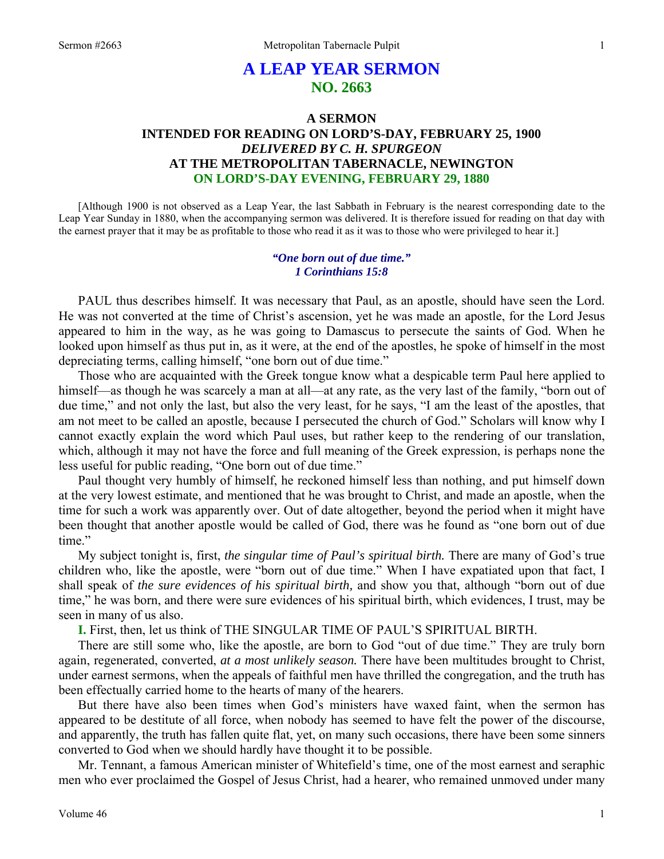# **A LEAP YEAR SERMON NO. 2663**

# **A SERMON INTENDED FOR READING ON LORD'S-DAY, FEBRUARY 25, 1900**  *DELIVERED BY C. H. SPURGEON*  **AT THE METROPOLITAN TABERNACLE, NEWINGTON ON LORD'S-DAY EVENING, FEBRUARY 29, 1880**

[Although 1900 is not observed as a Leap Year, the last Sabbath in February is the nearest corresponding date to the Leap Year Sunday in 1880, when the accompanying sermon was delivered. It is therefore issued for reading on that day with the earnest prayer that it may be as profitable to those who read it as it was to those who were privileged to hear it.]

### *"One born out of due time." 1 Corinthians 15:8*

PAUL thus describes himself. It was necessary that Paul, as an apostle, should have seen the Lord. He was not converted at the time of Christ's ascension, yet he was made an apostle, for the Lord Jesus appeared to him in the way, as he was going to Damascus to persecute the saints of God. When he looked upon himself as thus put in, as it were, at the end of the apostles, he spoke of himself in the most depreciating terms, calling himself, "one born out of due time."

Those who are acquainted with the Greek tongue know what a despicable term Paul here applied to himself—as though he was scarcely a man at all—at any rate, as the very last of the family, "born out of due time," and not only the last, but also the very least, for he says, "I am the least of the apostles, that am not meet to be called an apostle, because I persecuted the church of God." Scholars will know why I cannot exactly explain the word which Paul uses, but rather keep to the rendering of our translation, which, although it may not have the force and full meaning of the Greek expression, is perhaps none the less useful for public reading, "One born out of due time."

Paul thought very humbly of himself, he reckoned himself less than nothing, and put himself down at the very lowest estimate, and mentioned that he was brought to Christ, and made an apostle, when the time for such a work was apparently over. Out of date altogether, beyond the period when it might have been thought that another apostle would be called of God, there was he found as "one born out of due time."

My subject tonight is, first, *the singular time of Paul's spiritual birth.* There are many of God's true children who, like the apostle, were "born out of due time." When I have expatiated upon that fact, I shall speak of *the sure evidences of his spiritual birth,* and show you that, although "born out of due time," he was born, and there were sure evidences of his spiritual birth, which evidences, I trust, may be seen in many of us also.

**I.** First, then, let us think of THE SINGULAR TIME OF PAUL'S SPIRITUAL BIRTH.

There are still some who, like the apostle, are born to God "out of due time." They are truly born again, regenerated, converted, *at a most unlikely season.* There have been multitudes brought to Christ, under earnest sermons, when the appeals of faithful men have thrilled the congregation, and the truth has been effectually carried home to the hearts of many of the hearers.

But there have also been times when God's ministers have waxed faint, when the sermon has appeared to be destitute of all force, when nobody has seemed to have felt the power of the discourse, and apparently, the truth has fallen quite flat, yet, on many such occasions, there have been some sinners converted to God when we should hardly have thought it to be possible.

Mr. Tennant, a famous American minister of Whitefield's time, one of the most earnest and seraphic men who ever proclaimed the Gospel of Jesus Christ, had a hearer, who remained unmoved under many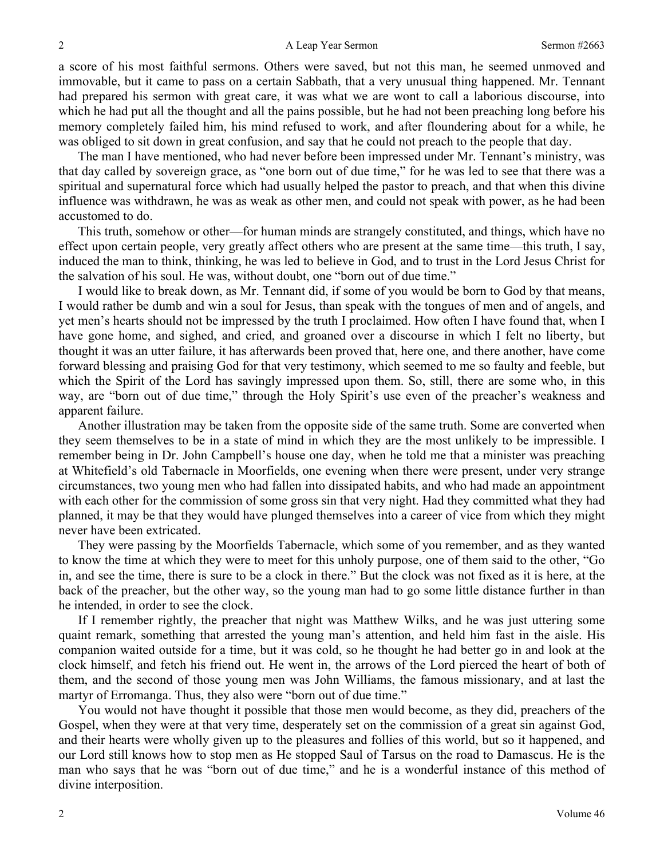a score of his most faithful sermons. Others were saved, but not this man, he seemed unmoved and immovable, but it came to pass on a certain Sabbath, that a very unusual thing happened. Mr. Tennant had prepared his sermon with great care, it was what we are wont to call a laborious discourse, into which he had put all the thought and all the pains possible, but he had not been preaching long before his memory completely failed him, his mind refused to work, and after floundering about for a while, he was obliged to sit down in great confusion, and say that he could not preach to the people that day.

The man I have mentioned, who had never before been impressed under Mr. Tennant's ministry, was that day called by sovereign grace, as "one born out of due time," for he was led to see that there was a spiritual and supernatural force which had usually helped the pastor to preach, and that when this divine influence was withdrawn, he was as weak as other men, and could not speak with power, as he had been accustomed to do.

This truth, somehow or other—for human minds are strangely constituted, and things, which have no effect upon certain people, very greatly affect others who are present at the same time—this truth, I say, induced the man to think, thinking, he was led to believe in God, and to trust in the Lord Jesus Christ for the salvation of his soul. He was, without doubt, one "born out of due time."

I would like to break down, as Mr. Tennant did, if some of you would be born to God by that means, I would rather be dumb and win a soul for Jesus, than speak with the tongues of men and of angels, and yet men's hearts should not be impressed by the truth I proclaimed. How often I have found that, when I have gone home, and sighed, and cried, and groaned over a discourse in which I felt no liberty, but thought it was an utter failure, it has afterwards been proved that, here one, and there another, have come forward blessing and praising God for that very testimony, which seemed to me so faulty and feeble, but which the Spirit of the Lord has savingly impressed upon them. So, still, there are some who, in this way, are "born out of due time," through the Holy Spirit's use even of the preacher's weakness and apparent failure.

Another illustration may be taken from the opposite side of the same truth. Some are converted when they seem themselves to be in a state of mind in which they are the most unlikely to be impressible. I remember being in Dr. John Campbell's house one day, when he told me that a minister was preaching at Whitefield's old Tabernacle in Moorfields, one evening when there were present, under very strange circumstances, two young men who had fallen into dissipated habits, and who had made an appointment with each other for the commission of some gross sin that very night. Had they committed what they had planned, it may be that they would have plunged themselves into a career of vice from which they might never have been extricated.

They were passing by the Moorfields Tabernacle, which some of you remember, and as they wanted to know the time at which they were to meet for this unholy purpose, one of them said to the other, "Go in, and see the time, there is sure to be a clock in there." But the clock was not fixed as it is here, at the back of the preacher, but the other way, so the young man had to go some little distance further in than he intended, in order to see the clock.

If I remember rightly, the preacher that night was Matthew Wilks, and he was just uttering some quaint remark, something that arrested the young man's attention, and held him fast in the aisle. His companion waited outside for a time, but it was cold, so he thought he had better go in and look at the clock himself, and fetch his friend out. He went in, the arrows of the Lord pierced the heart of both of them, and the second of those young men was John Williams, the famous missionary, and at last the martyr of Erromanga. Thus, they also were "born out of due time."

You would not have thought it possible that those men would become, as they did, preachers of the Gospel, when they were at that very time, desperately set on the commission of a great sin against God, and their hearts were wholly given up to the pleasures and follies of this world, but so it happened, and our Lord still knows how to stop men as He stopped Saul of Tarsus on the road to Damascus. He is the man who says that he was "born out of due time," and he is a wonderful instance of this method of divine interposition.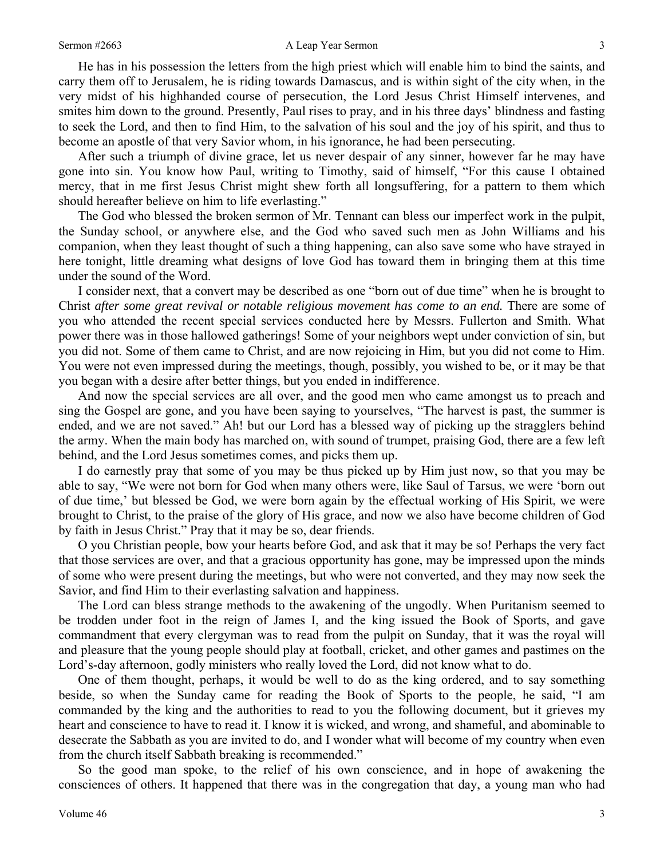#### Sermon #2663 **A Leap Year Sermon** 3

He has in his possession the letters from the high priest which will enable him to bind the saints, and carry them off to Jerusalem, he is riding towards Damascus, and is within sight of the city when, in the very midst of his highhanded course of persecution, the Lord Jesus Christ Himself intervenes, and smites him down to the ground. Presently, Paul rises to pray, and in his three days' blindness and fasting to seek the Lord, and then to find Him, to the salvation of his soul and the joy of his spirit, and thus to become an apostle of that very Savior whom, in his ignorance, he had been persecuting.

After such a triumph of divine grace, let us never despair of any sinner, however far he may have gone into sin. You know how Paul, writing to Timothy, said of himself, "For this cause I obtained mercy, that in me first Jesus Christ might shew forth all longsuffering, for a pattern to them which should hereafter believe on him to life everlasting."

The God who blessed the broken sermon of Mr. Tennant can bless our imperfect work in the pulpit, the Sunday school, or anywhere else, and the God who saved such men as John Williams and his companion, when they least thought of such a thing happening, can also save some who have strayed in here tonight, little dreaming what designs of love God has toward them in bringing them at this time under the sound of the Word.

I consider next, that a convert may be described as one "born out of due time" when he is brought to Christ *after some great revival or notable religious movement has come to an end.* There are some of you who attended the recent special services conducted here by Messrs. Fullerton and Smith. What power there was in those hallowed gatherings! Some of your neighbors wept under conviction of sin, but you did not. Some of them came to Christ, and are now rejoicing in Him, but you did not come to Him. You were not even impressed during the meetings, though, possibly, you wished to be, or it may be that you began with a desire after better things, but you ended in indifference.

And now the special services are all over, and the good men who came amongst us to preach and sing the Gospel are gone, and you have been saying to yourselves, "The harvest is past, the summer is ended, and we are not saved." Ah! but our Lord has a blessed way of picking up the stragglers behind the army. When the main body has marched on, with sound of trumpet, praising God, there are a few left behind, and the Lord Jesus sometimes comes, and picks them up.

I do earnestly pray that some of you may be thus picked up by Him just now, so that you may be able to say, "We were not born for God when many others were, like Saul of Tarsus, we were 'born out of due time,' but blessed be God, we were born again by the effectual working of His Spirit, we were brought to Christ, to the praise of the glory of His grace, and now we also have become children of God by faith in Jesus Christ." Pray that it may be so, dear friends.

O you Christian people, bow your hearts before God, and ask that it may be so! Perhaps the very fact that those services are over, and that a gracious opportunity has gone, may be impressed upon the minds of some who were present during the meetings, but who were not converted, and they may now seek the Savior, and find Him to their everlasting salvation and happiness.

The Lord can bless strange methods to the awakening of the ungodly. When Puritanism seemed to be trodden under foot in the reign of James I, and the king issued the Book of Sports, and gave commandment that every clergyman was to read from the pulpit on Sunday, that it was the royal will and pleasure that the young people should play at football, cricket, and other games and pastimes on the Lord's-day afternoon, godly ministers who really loved the Lord, did not know what to do.

One of them thought, perhaps, it would be well to do as the king ordered, and to say something beside, so when the Sunday came for reading the Book of Sports to the people, he said, "I am commanded by the king and the authorities to read to you the following document, but it grieves my heart and conscience to have to read it. I know it is wicked, and wrong, and shameful, and abominable to desecrate the Sabbath as you are invited to do, and I wonder what will become of my country when even from the church itself Sabbath breaking is recommended."

So the good man spoke, to the relief of his own conscience, and in hope of awakening the consciences of others. It happened that there was in the congregation that day, a young man who had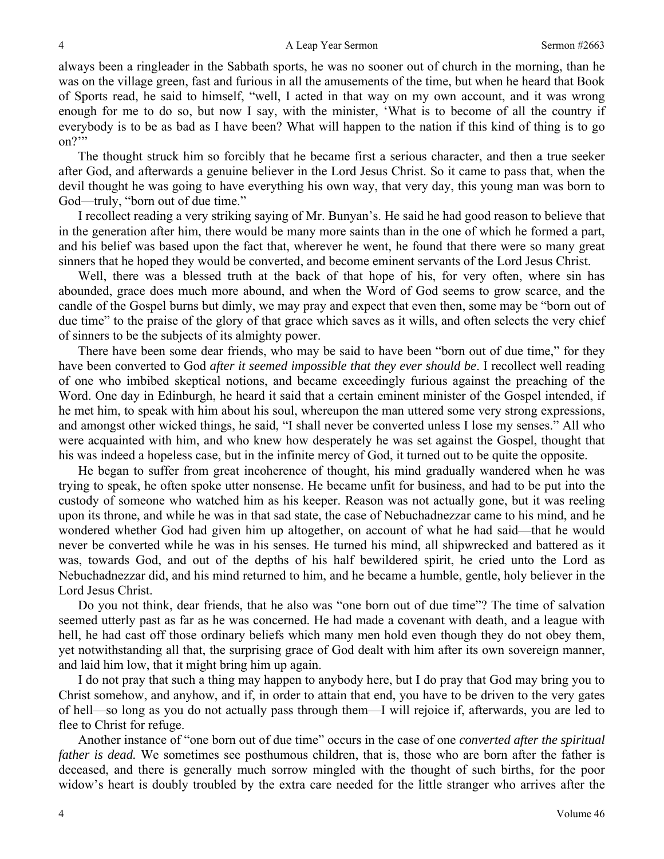always been a ringleader in the Sabbath sports, he was no sooner out of church in the morning, than he was on the village green, fast and furious in all the amusements of the time, but when he heard that Book of Sports read, he said to himself, "well, I acted in that way on my own account, and it was wrong enough for me to do so, but now I say, with the minister, 'What is to become of all the country if everybody is to be as bad as I have been? What will happen to the nation if this kind of thing is to go on?"

The thought struck him so forcibly that he became first a serious character, and then a true seeker after God, and afterwards a genuine believer in the Lord Jesus Christ. So it came to pass that, when the devil thought he was going to have everything his own way, that very day, this young man was born to God—truly, "born out of due time."

I recollect reading a very striking saying of Mr. Bunyan's. He said he had good reason to believe that in the generation after him, there would be many more saints than in the one of which he formed a part, and his belief was based upon the fact that, wherever he went, he found that there were so many great sinners that he hoped they would be converted, and become eminent servants of the Lord Jesus Christ.

Well, there was a blessed truth at the back of that hope of his, for very often, where sin has abounded, grace does much more abound, and when the Word of God seems to grow scarce, and the candle of the Gospel burns but dimly, we may pray and expect that even then, some may be "born out of due time" to the praise of the glory of that grace which saves as it wills, and often selects the very chief of sinners to be the subjects of its almighty power.

There have been some dear friends, who may be said to have been "born out of due time," for they have been converted to God *after it seemed impossible that they ever should be*. I recollect well reading of one who imbibed skeptical notions, and became exceedingly furious against the preaching of the Word. One day in Edinburgh, he heard it said that a certain eminent minister of the Gospel intended, if he met him, to speak with him about his soul, whereupon the man uttered some very strong expressions, and amongst other wicked things, he said, "I shall never be converted unless I lose my senses." All who were acquainted with him, and who knew how desperately he was set against the Gospel, thought that his was indeed a hopeless case, but in the infinite mercy of God, it turned out to be quite the opposite.

He began to suffer from great incoherence of thought, his mind gradually wandered when he was trying to speak, he often spoke utter nonsense. He became unfit for business, and had to be put into the custody of someone who watched him as his keeper. Reason was not actually gone, but it was reeling upon its throne, and while he was in that sad state, the case of Nebuchadnezzar came to his mind, and he wondered whether God had given him up altogether, on account of what he had said—that he would never be converted while he was in his senses. He turned his mind, all shipwrecked and battered as it was, towards God, and out of the depths of his half bewildered spirit, he cried unto the Lord as Nebuchadnezzar did, and his mind returned to him, and he became a humble, gentle, holy believer in the Lord Jesus Christ.

Do you not think, dear friends, that he also was "one born out of due time"? The time of salvation seemed utterly past as far as he was concerned. He had made a covenant with death, and a league with hell, he had cast off those ordinary beliefs which many men hold even though they do not obey them, yet notwithstanding all that, the surprising grace of God dealt with him after its own sovereign manner, and laid him low, that it might bring him up again.

I do not pray that such a thing may happen to anybody here, but I do pray that God may bring you to Christ somehow, and anyhow, and if, in order to attain that end, you have to be driven to the very gates of hell—so long as you do not actually pass through them—I will rejoice if, afterwards, you are led to flee to Christ for refuge.

Another instance of "one born out of due time" occurs in the case of one *converted after the spiritual father is dead.* We sometimes see posthumous children, that is, those who are born after the father is deceased, and there is generally much sorrow mingled with the thought of such births, for the poor widow's heart is doubly troubled by the extra care needed for the little stranger who arrives after the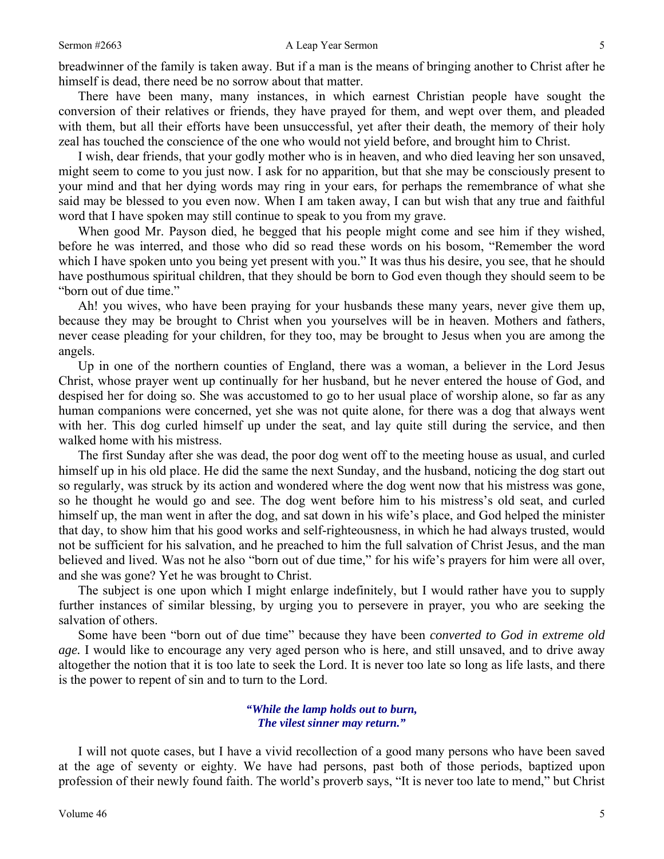breadwinner of the family is taken away. But if a man is the means of bringing another to Christ after he himself is dead, there need be no sorrow about that matter.

There have been many, many instances, in which earnest Christian people have sought the conversion of their relatives or friends, they have prayed for them, and wept over them, and pleaded with them, but all their efforts have been unsuccessful, yet after their death, the memory of their holy zeal has touched the conscience of the one who would not yield before, and brought him to Christ.

I wish, dear friends, that your godly mother who is in heaven, and who died leaving her son unsaved, might seem to come to you just now. I ask for no apparition, but that she may be consciously present to your mind and that her dying words may ring in your ears, for perhaps the remembrance of what she said may be blessed to you even now. When I am taken away, I can but wish that any true and faithful word that I have spoken may still continue to speak to you from my grave.

When good Mr. Payson died, he begged that his people might come and see him if they wished, before he was interred, and those who did so read these words on his bosom, "Remember the word which I have spoken unto you being yet present with you." It was thus his desire, you see, that he should have posthumous spiritual children, that they should be born to God even though they should seem to be "born out of due time."

Ah! you wives, who have been praying for your husbands these many years, never give them up, because they may be brought to Christ when you yourselves will be in heaven. Mothers and fathers, never cease pleading for your children, for they too, may be brought to Jesus when you are among the angels.

Up in one of the northern counties of England, there was a woman, a believer in the Lord Jesus Christ, whose prayer went up continually for her husband, but he never entered the house of God, and despised her for doing so. She was accustomed to go to her usual place of worship alone, so far as any human companions were concerned, yet she was not quite alone, for there was a dog that always went with her. This dog curled himself up under the seat, and lay quite still during the service, and then walked home with his mistress.

The first Sunday after she was dead, the poor dog went off to the meeting house as usual, and curled himself up in his old place. He did the same the next Sunday, and the husband, noticing the dog start out so regularly, was struck by its action and wondered where the dog went now that his mistress was gone, so he thought he would go and see. The dog went before him to his mistress's old seat, and curled himself up, the man went in after the dog, and sat down in his wife's place, and God helped the minister that day, to show him that his good works and self-righteousness, in which he had always trusted, would not be sufficient for his salvation, and he preached to him the full salvation of Christ Jesus, and the man believed and lived. Was not he also "born out of due time," for his wife's prayers for him were all over, and she was gone? Yet he was brought to Christ.

The subject is one upon which I might enlarge indefinitely, but I would rather have you to supply further instances of similar blessing, by urging you to persevere in prayer, you who are seeking the salvation of others.

Some have been "born out of due time" because they have been *converted to God in extreme old age.* I would like to encourage any very aged person who is here, and still unsaved, and to drive away altogether the notion that it is too late to seek the Lord. It is never too late so long as life lasts, and there is the power to repent of sin and to turn to the Lord.

> *"While the lamp holds out to burn, The vilest sinner may return."*

I will not quote cases, but I have a vivid recollection of a good many persons who have been saved at the age of seventy or eighty. We have had persons, past both of those periods, baptized upon profession of their newly found faith. The world's proverb says, "It is never too late to mend," but Christ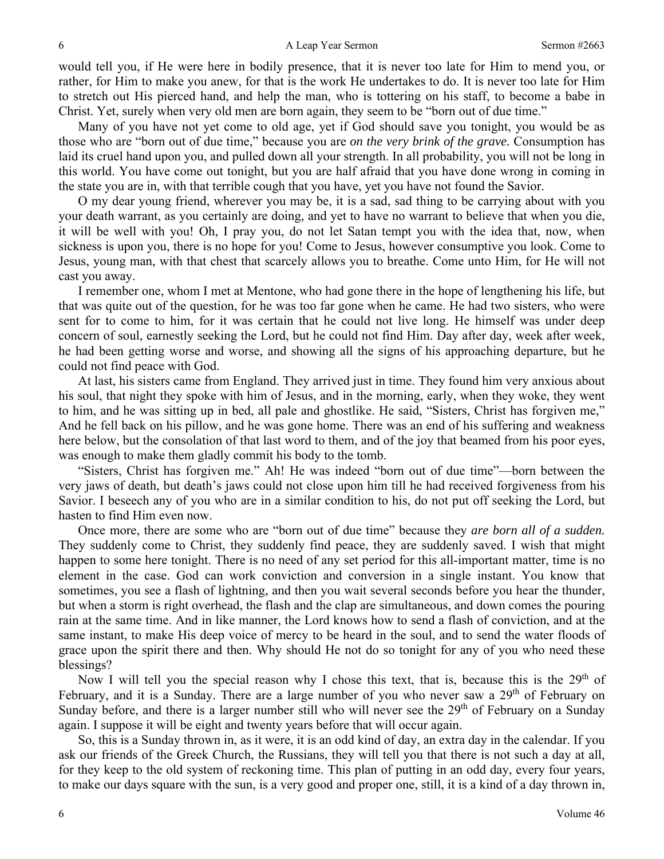would tell you, if He were here in bodily presence, that it is never too late for Him to mend you, or rather, for Him to make you anew, for that is the work He undertakes to do. It is never too late for Him to stretch out His pierced hand, and help the man, who is tottering on his staff, to become a babe in Christ. Yet, surely when very old men are born again, they seem to be "born out of due time."

Many of you have not yet come to old age, yet if God should save you tonight, you would be as those who are "born out of due time," because you are *on the very brink of the grave.* Consumption has laid its cruel hand upon you, and pulled down all your strength. In all probability, you will not be long in this world. You have come out tonight, but you are half afraid that you have done wrong in coming in the state you are in, with that terrible cough that you have, yet you have not found the Savior.

O my dear young friend, wherever you may be, it is a sad, sad thing to be carrying about with you your death warrant, as you certainly are doing, and yet to have no warrant to believe that when you die, it will be well with you! Oh, I pray you, do not let Satan tempt you with the idea that, now, when sickness is upon you, there is no hope for you! Come to Jesus, however consumptive you look. Come to Jesus, young man, with that chest that scarcely allows you to breathe. Come unto Him, for He will not cast you away.

I remember one, whom I met at Mentone, who had gone there in the hope of lengthening his life, but that was quite out of the question, for he was too far gone when he came. He had two sisters, who were sent for to come to him, for it was certain that he could not live long. He himself was under deep concern of soul, earnestly seeking the Lord, but he could not find Him. Day after day, week after week, he had been getting worse and worse, and showing all the signs of his approaching departure, but he could not find peace with God.

At last, his sisters came from England. They arrived just in time. They found him very anxious about his soul, that night they spoke with him of Jesus, and in the morning, early, when they woke, they went to him, and he was sitting up in bed, all pale and ghostlike. He said, "Sisters, Christ has forgiven me," And he fell back on his pillow, and he was gone home. There was an end of his suffering and weakness here below, but the consolation of that last word to them, and of the joy that beamed from his poor eyes, was enough to make them gladly commit his body to the tomb.

"Sisters, Christ has forgiven me." Ah! He was indeed "born out of due time"—born between the very jaws of death, but death's jaws could not close upon him till he had received forgiveness from his Savior. I beseech any of you who are in a similar condition to his, do not put off seeking the Lord, but hasten to find Him even now.

Once more, there are some who are "born out of due time" because they *are born all of a sudden.*  They suddenly come to Christ, they suddenly find peace, they are suddenly saved. I wish that might happen to some here tonight. There is no need of any set period for this all-important matter, time is no element in the case. God can work conviction and conversion in a single instant. You know that sometimes, you see a flash of lightning, and then you wait several seconds before you hear the thunder, but when a storm is right overhead, the flash and the clap are simultaneous, and down comes the pouring rain at the same time. And in like manner, the Lord knows how to send a flash of conviction, and at the same instant, to make His deep voice of mercy to be heard in the soul, and to send the water floods of grace upon the spirit there and then. Why should He not do so tonight for any of you who need these blessings?

Now I will tell you the special reason why I chose this text, that is, because this is the  $29<sup>th</sup>$  of February, and it is a Sunday. There are a large number of you who never saw a 29<sup>th</sup> of February on Sunday before, and there is a larger number still who will never see the 29<sup>th</sup> of February on a Sunday again. I suppose it will be eight and twenty years before that will occur again.

So, this is a Sunday thrown in, as it were, it is an odd kind of day, an extra day in the calendar. If you ask our friends of the Greek Church, the Russians, they will tell you that there is not such a day at all, for they keep to the old system of reckoning time. This plan of putting in an odd day, every four years, to make our days square with the sun, is a very good and proper one, still, it is a kind of a day thrown in,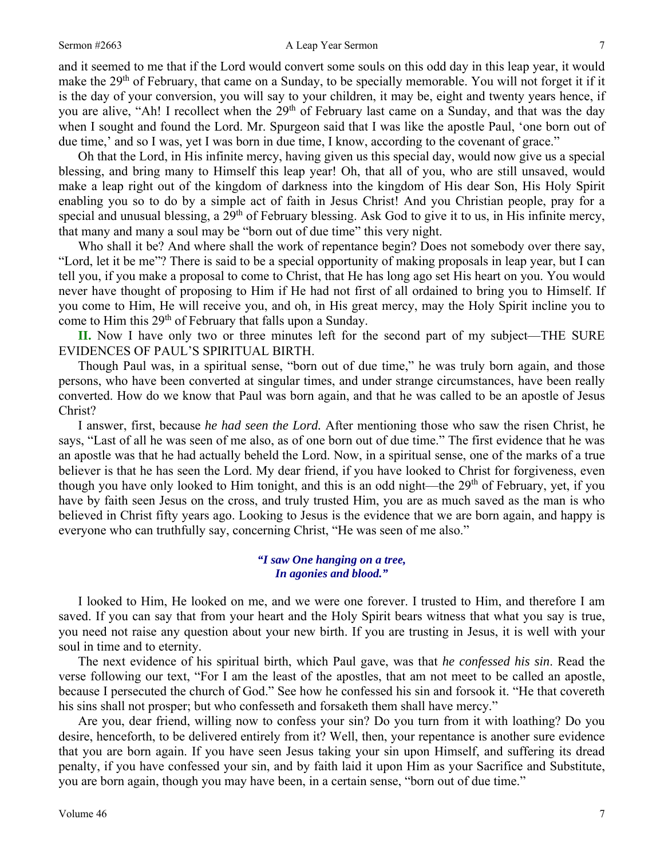#### Sermon #2663 **A Leap Year Sermon** 7

and it seemed to me that if the Lord would convert some souls on this odd day in this leap year, it would make the 29<sup>th</sup> of February, that came on a Sunday, to be specially memorable. You will not forget it if it is the day of your conversion, you will say to your children, it may be, eight and twenty years hence, if you are alive, "Ah! I recollect when the 29<sup>th</sup> of February last came on a Sunday, and that was the day when I sought and found the Lord. Mr. Spurgeon said that I was like the apostle Paul, 'one born out of due time,' and so I was, yet I was born in due time, I know, according to the covenant of grace."

Oh that the Lord, in His infinite mercy, having given us this special day, would now give us a special blessing, and bring many to Himself this leap year! Oh, that all of you, who are still unsaved, would make a leap right out of the kingdom of darkness into the kingdom of His dear Son, His Holy Spirit enabling you so to do by a simple act of faith in Jesus Christ! And you Christian people, pray for a special and unusual blessing, a 29<sup>th</sup> of February blessing. Ask God to give it to us, in His infinite mercy, that many and many a soul may be "born out of due time" this very night.

Who shall it be? And where shall the work of repentance begin? Does not somebody over there say, "Lord, let it be me"? There is said to be a special opportunity of making proposals in leap year, but I can tell you, if you make a proposal to come to Christ, that He has long ago set His heart on you. You would never have thought of proposing to Him if He had not first of all ordained to bring you to Himself. If you come to Him, He will receive you, and oh, in His great mercy, may the Holy Spirit incline you to come to Him this 29<sup>th</sup> of February that falls upon a Sunday.

**II.** Now I have only two or three minutes left for the second part of my subject—THE SURE EVIDENCES OF PAUL'S SPIRITUAL BIRTH.

Though Paul was, in a spiritual sense, "born out of due time," he was truly born again, and those persons, who have been converted at singular times, and under strange circumstances, have been really converted. How do we know that Paul was born again, and that he was called to be an apostle of Jesus Christ?

I answer, first, because *he had seen the Lord.* After mentioning those who saw the risen Christ, he says, "Last of all he was seen of me also, as of one born out of due time." The first evidence that he was an apostle was that he had actually beheld the Lord. Now, in a spiritual sense, one of the marks of a true believer is that he has seen the Lord. My dear friend, if you have looked to Christ for forgiveness, even though you have only looked to Him tonight, and this is an odd night—the 29<sup>th</sup> of February, yet, if you have by faith seen Jesus on the cross, and truly trusted Him, you are as much saved as the man is who believed in Christ fifty years ago. Looking to Jesus is the evidence that we are born again, and happy is everyone who can truthfully say, concerning Christ, "He was seen of me also."

#### *"I saw One hanging on a tree, In agonies and blood."*

I looked to Him, He looked on me, and we were one forever. I trusted to Him, and therefore I am saved. If you can say that from your heart and the Holy Spirit bears witness that what you say is true, you need not raise any question about your new birth. If you are trusting in Jesus, it is well with your soul in time and to eternity.

The next evidence of his spiritual birth, which Paul gave, was that *he confessed his sin*. Read the verse following our text, "For I am the least of the apostles, that am not meet to be called an apostle, because I persecuted the church of God." See how he confessed his sin and forsook it. "He that covereth his sins shall not prosper; but who confesseth and forsaketh them shall have mercy."

Are you, dear friend, willing now to confess your sin? Do you turn from it with loathing? Do you desire, henceforth, to be delivered entirely from it? Well, then, your repentance is another sure evidence that you are born again. If you have seen Jesus taking your sin upon Himself, and suffering its dread penalty, if you have confessed your sin, and by faith laid it upon Him as your Sacrifice and Substitute, you are born again, though you may have been, in a certain sense, "born out of due time."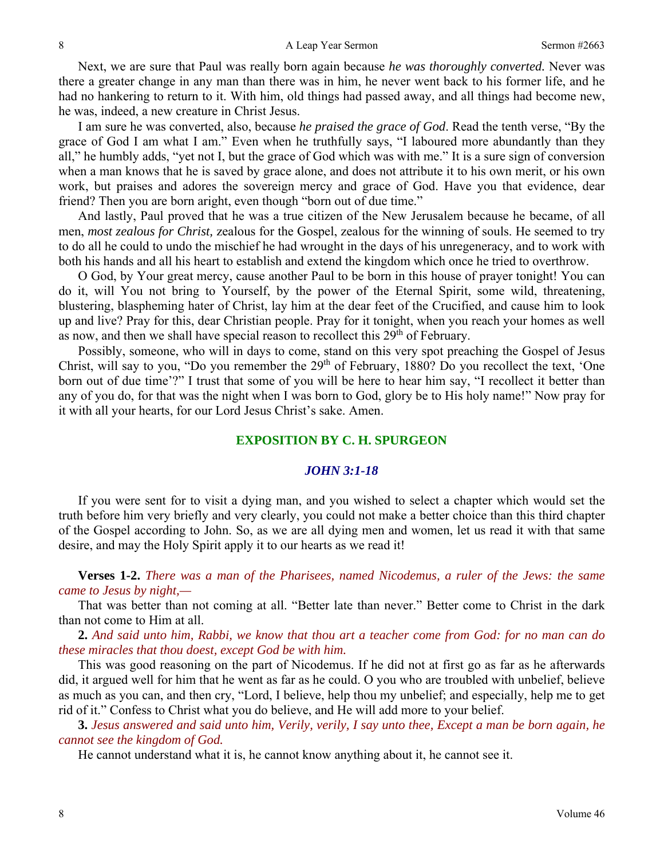Next, we are sure that Paul was really born again because *he was thoroughly converted.* Never was there a greater change in any man than there was in him, he never went back to his former life, and he had no hankering to return to it. With him, old things had passed away, and all things had become new, he was, indeed, a new creature in Christ Jesus.

I am sure he was converted, also, because *he praised the grace of God*. Read the tenth verse, "By the grace of God I am what I am." Even when he truthfully says, "I laboured more abundantly than they all," he humbly adds, "yet not I, but the grace of God which was with me." It is a sure sign of conversion when a man knows that he is saved by grace alone, and does not attribute it to his own merit, or his own work, but praises and adores the sovereign mercy and grace of God. Have you that evidence, dear friend? Then you are born aright, even though "born out of due time."

And lastly, Paul proved that he was a true citizen of the New Jerusalem because he became, of all men, *most zealous for Christ,* zealous for the Gospel, zealous for the winning of souls. He seemed to try to do all he could to undo the mischief he had wrought in the days of his unregeneracy, and to work with both his hands and all his heart to establish and extend the kingdom which once he tried to overthrow.

O God, by Your great mercy, cause another Paul to be born in this house of prayer tonight! You can do it, will You not bring to Yourself, by the power of the Eternal Spirit, some wild, threatening, blustering, blaspheming hater of Christ, lay him at the dear feet of the Crucified, and cause him to look up and live? Pray for this, dear Christian people. Pray for it tonight, when you reach your homes as well as now, and then we shall have special reason to recollect this  $29<sup>th</sup>$  of February.

Possibly, someone, who will in days to come, stand on this very spot preaching the Gospel of Jesus Christ, will say to you, "Do you remember the  $29<sup>th</sup>$  of February, 1880? Do you recollect the text, 'One born out of due time'?" I trust that some of you will be here to hear him say, "I recollect it better than any of you do, for that was the night when I was born to God, glory be to His holy name!" Now pray for it with all your hearts, for our Lord Jesus Christ's sake. Amen.

## **EXPOSITION BY C. H. SPURGEON**

### *JOHN 3:1-18*

If you were sent for to visit a dying man, and you wished to select a chapter which would set the truth before him very briefly and very clearly, you could not make a better choice than this third chapter of the Gospel according to John. So, as we are all dying men and women, let us read it with that same desire, and may the Holy Spirit apply it to our hearts as we read it!

**Verses 1-2.** *There was a man of the Pharisees, named Nicodemus, a ruler of the Jews: the same came to Jesus by night,—* 

That was better than not coming at all. "Better late than never." Better come to Christ in the dark than not come to Him at all.

**2.** *And said unto him, Rabbi, we know that thou art a teacher come from God: for no man can do these miracles that thou doest, except God be with him.* 

This was good reasoning on the part of Nicodemus. If he did not at first go as far as he afterwards did, it argued well for him that he went as far as he could. O you who are troubled with unbelief, believe as much as you can, and then cry, "Lord, I believe, help thou my unbelief; and especially, help me to get rid of it." Confess to Christ what you do believe, and He will add more to your belief.

**3.** *Jesus answered and said unto him, Verily, verily, I say unto thee, Except a man be born again, he cannot see the kingdom of God.* 

He cannot understand what it is, he cannot know anything about it, he cannot see it.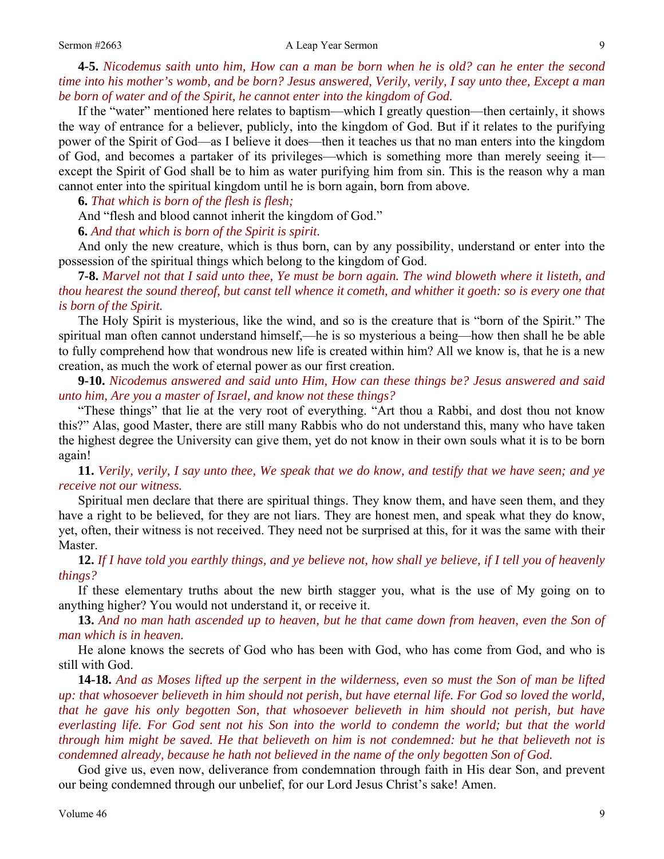#### Sermon #2663 A Leap Year Sermon 9

**4-5.** *Nicodemus saith unto him, How can a man be born when he is old? can he enter the second time into his mother's womb, and be born? Jesus answered, Verily, verily, I say unto thee, Except a man be born of water and of the Spirit, he cannot enter into the kingdom of God.* 

If the "water" mentioned here relates to baptism—which I greatly question—then certainly, it shows the way of entrance for a believer, publicly, into the kingdom of God. But if it relates to the purifying power of the Spirit of God—as I believe it does—then it teaches us that no man enters into the kingdom of God, and becomes a partaker of its privileges—which is something more than merely seeing it except the Spirit of God shall be to him as water purifying him from sin. This is the reason why a man cannot enter into the spiritual kingdom until he is born again, born from above.

**6.** *That which is born of the flesh is flesh;* 

And "flesh and blood cannot inherit the kingdom of God."

**6.** *And that which is born of the Spirit is spirit.* 

And only the new creature, which is thus born, can by any possibility, understand or enter into the possession of the spiritual things which belong to the kingdom of God.

**7-8.** *Marvel not that I said unto thee, Ye must be born again. The wind bloweth where it listeth, and thou hearest the sound thereof, but canst tell whence it cometh, and whither it goeth: so is every one that is born of the Spirit.* 

The Holy Spirit is mysterious, like the wind, and so is the creature that is "born of the Spirit." The spiritual man often cannot understand himself,—he is so mysterious a being—how then shall he be able to fully comprehend how that wondrous new life is created within him? All we know is, that he is a new creation, as much the work of eternal power as our first creation.

**9-10.** *Nicodemus answered and said unto Him, How can these things be? Jesus answered and said unto him, Are you a master of Israel, and know not these things?* 

"These things" that lie at the very root of everything. "Art thou a Rabbi, and dost thou not know this?" Alas, good Master, there are still many Rabbis who do not understand this, many who have taken the highest degree the University can give them, yet do not know in their own souls what it is to be born again!

**11.** *Verily, verily, I say unto thee, We speak that we do know, and testify that we have seen; and ye receive not our witness.* 

Spiritual men declare that there are spiritual things. They know them, and have seen them, and they have a right to be believed, for they are not liars. They are honest men, and speak what they do know, yet, often, their witness is not received. They need not be surprised at this, for it was the same with their Master.

**12.** *If I have told you earthly things, and ye believe not, how shall ye believe, if I tell you of heavenly things?* 

If these elementary truths about the new birth stagger you, what is the use of My going on to anything higher? You would not understand it, or receive it.

**13.** *And no man hath ascended up to heaven, but he that came down from heaven, even the Son of man which is in heaven.* 

He alone knows the secrets of God who has been with God, who has come from God, and who is still with God.

**14-18.** *And as Moses lifted up the serpent in the wilderness, even so must the Son of man be lifted up: that whosoever believeth in him should not perish, but have eternal life. For God so loved the world, that he gave his only begotten Son, that whosoever believeth in him should not perish, but have everlasting life. For God sent not his Son into the world to condemn the world; but that the world through him might be saved. He that believeth on him is not condemned: but he that believeth not is condemned already, because he hath not believed in the name of the only begotten Son of God.* 

God give us, even now, deliverance from condemnation through faith in His dear Son, and prevent our being condemned through our unbelief, for our Lord Jesus Christ's sake! Amen.